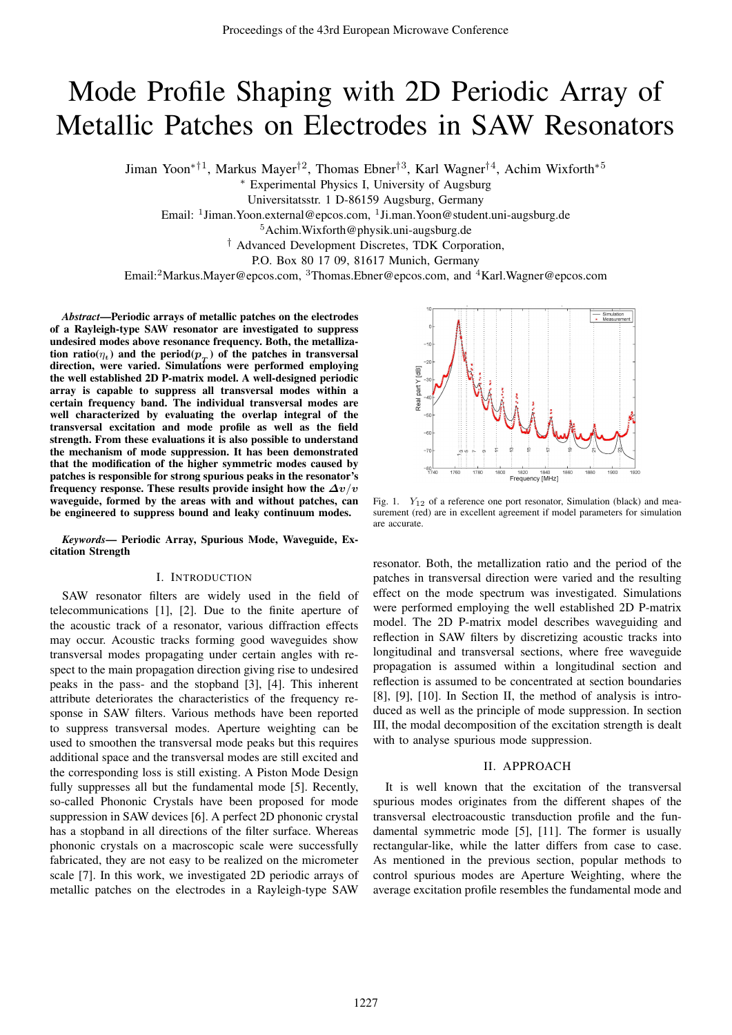# Mode Profile Shaping with 2D Periodic Array of Metallic Patches on Electrodes in SAW Resonators

Jiman Yoon<sup>\*†1</sup>, Markus Mayer<sup>†2</sup>, Thomas Ebner<sup>†3</sup>, Karl Wagner<sup>†4</sup>, Achim Wixforth<sup>\*5</sup>

∗ Experimental Physics I, University of Augsburg

Universitatsstr. 1 D-86159 Augsburg, Germany

Email: <sup>1</sup> Jiman. Yoon.external@epcos.com, <sup>1</sup> Ji.man. Yoon@student.uni-augsburg.de

<sup>5</sup>Achim.Wixforth@physik.uni-augsburg.de

† Advanced Development Discretes, TDK Corporation,

P.O. Box 80 17 09, 81617 Munich, Germany

Email:<sup>2</sup>Markus.Mayer@epcos.com, <sup>3</sup>Thomas.Ebner@epcos.com, and <sup>4</sup>Karl.Wagner@epcos.com

*Abstract*—Periodic arrays of metallic patches on the electrodes of a Rayleigh-type SAW resonator are investigated to suppress undesired modes above resonance frequency. Both, the metallization ratio( $\eta_t$ ) and the period( $p_T$ ) of the patches in transversal direction, were varied. Simulations were performed employing the well established 2D P-matrix model. A well-designed periodic array is capable to suppress all transversal modes within a certain frequency band. The individual transversal modes are well characterized by evaluating the overlap integral of the transversal excitation and mode profile as well as the field strength. From these evaluations it is also possible to understand the mechanism of mode suppression. It has been demonstrated that the modification of the higher symmetric modes caused by patches is responsible for strong spurious peaks in the resonator's frequency response. These results provide insight how the  $\Delta v/v$ waveguide, formed by the areas with and without patches, can be engineered to suppress bound and leaky continuum modes.

*Keywords*— Periodic Array, Spurious Mode, Waveguide, Excitation Strength

#### I. INTRODUCTION

SAW resonator filters are widely used in the field of telecommunications [1], [2]. Due to the finite aperture of the acoustic track of a resonator, various diffraction effects may occur. Acoustic tracks forming good waveguides show transversal modes propagating under certain angles with respect to the main propagation direction giving rise to undesired peaks in the pass- and the stopband [3], [4]. This inherent attribute deteriorates the characteristics of the frequency response in SAW filters. Various methods have been reported to suppress transversal modes. Aperture weighting can be used to smoothen the transversal mode peaks but this requires additional space and the transversal modes are still excited and the corresponding loss is still existing. A Piston Mode Design fully suppresses all but the fundamental mode [5]. Recently, so-called Phononic Crystals have been proposed for mode suppression in SAW devices [6]. A perfect 2D phononic crystal has a stopband in all directions of the filter surface. Whereas phononic crystals on a macroscopic scale were successfully fabricated, they are not easy to be realized on the micrometer scale [7]. In this work, we investigated 2D periodic arrays of metallic patches on the electrodes in a Rayleigh-type SAW



Fig. 1.  $Y_{12}$  of a reference one port resonator, Simulation (black) and measurement (red) are in excellent agreement if model parameters for simulation are accurate.

resonator. Both, the metallization ratio and the period of the patches in transversal direction were varied and the resulting effect on the mode spectrum was investigated. Simulations were performed employing the well established 2D P-matrix model. The 2D P-matrix model describes waveguiding and reflection in SAW filters by discretizing acoustic tracks into longitudinal and transversal sections, where free waveguide propagation is assumed within a longitudinal section and reflection is assumed to be concentrated at section boundaries [8], [9], [10]. In Section II, the method of analysis is introduced as well as the principle of mode suppression. In section III, the modal decomposition of the excitation strength is dealt with to analyse spurious mode suppression.

### II. APPROACH

It is well known that the excitation of the transversal spurious modes originates from the different shapes of the transversal electroacoustic transduction profile and the fundamental symmetric mode [5], [11]. The former is usually rectangular-like, while the latter differs from case to case. As mentioned in the previous section, popular methods to control spurious modes are Aperture Weighting, where the average excitation profile resembles the fundamental mode and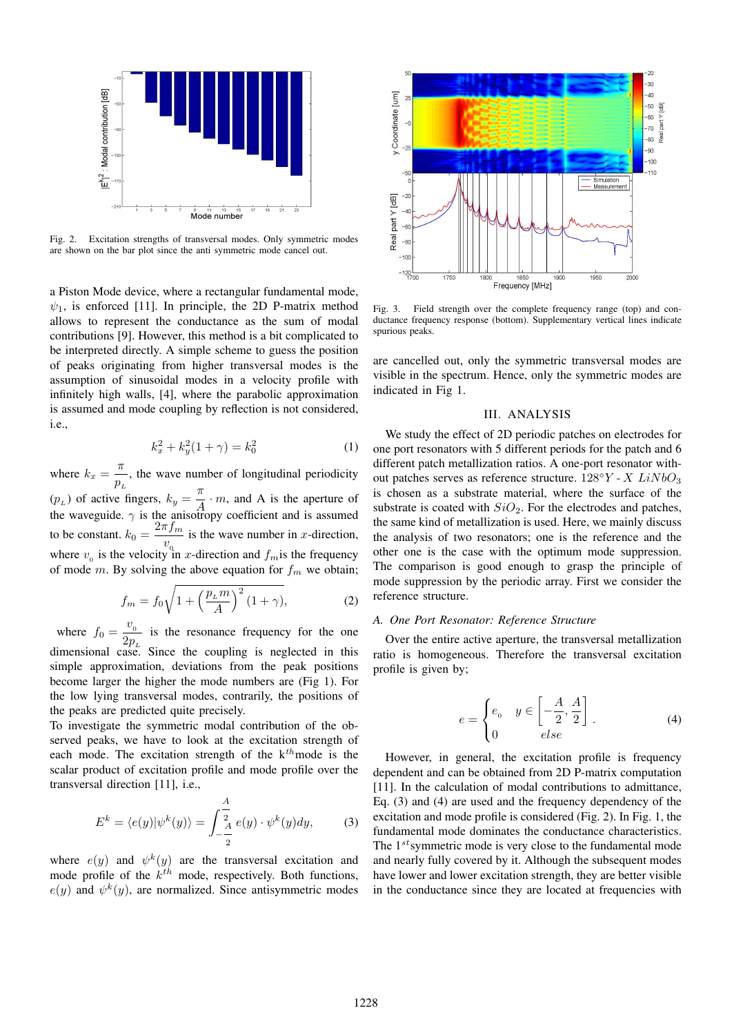

Fig. 2. Excitation strengths of transversal modes. Only symmetric modes are shown on the bar plot since the anti symmetric mode cancel out.

a Piston Mode device, where a rectangular fundamental mode,  $\psi_1$ , is enforced [11]. In principle, the 2D P-matrix method allows to represent the conductance as the sum of modal contributions [9]. However, this method is a bit complicated to be interpreted directly. A simple scheme to guess the position of peaks originating from higher transversal modes is the assumption of sinusoidal modes in a velocity profile with infinitely high walls, [4], where the parabolic approximation is assumed and mode coupling by reflection is not considered, i.e.,

$$
k_x^2 + k_y^2(1+\gamma) = k_0^2 \tag{1}
$$

where  $k_x = \frac{\pi}{p_x}$  $\frac{n}{p_L}$ , the wave number of longitudinal periodicity  $(p_L)$  of active fingers,  $k_y = \frac{\pi}{A}$  $\frac{\pi}{A} \cdot m$ , and A is the aperture of the waveguide.  $\gamma$  is the anisotropy coefficient and is assumed to be constant.  $k_0 = \frac{2\pi f_m}{r}$  $\frac{w_0}{w_0}$  is the wave number in x-direction, where  $v_0$  is the velocity in x-direction and  $f_m$  is the frequency of mode m. By solving the above equation for  $f_m$  we obtain;

$$
f_m = f_0 \sqrt{1 + \left(\frac{p_L m}{A}\right)^2 (1 + \gamma)},\tag{2}
$$

where  $f_0 = \frac{v_0}{2\pi}$  $\frac{v_0}{2p_L}$  is the resonance frequency for the one dimensional case. Since the coupling is neglected in this simple approximation, deviations from the peak positions become larger the higher the mode numbers are (Fig 1). For the low lying transversal modes, contrarily, the positions of the peaks are predicted quite precisely.

To investigate the symmetric modal contribution of the observed peaks, we have to look at the excitation strength of each mode. The excitation strength of the  $k^{th}$  mode is the scalar product of excitation profile and mode profile over the transversal direction [11], i.e.,

$$
E^{k} = \langle e(y)|\psi^{k}(y)\rangle = \int_{-\frac{A}{2}}^{\frac{A}{2}} e(y) \cdot \psi^{k}(y) dy, \tag{3}
$$

where  $e(y)$  and  $\psi^k(y)$  are the transversal excitation and mode profile of the  $k^{th}$  mode, respectively. Both functions,  $e(y)$  and  $\psi^k(y)$ , are normalized. Since antisymmetric modes



Fig. 3. Field strength over the complete frequency range (top) and conductance frequency response (bottom). Supplementary vertical lines indicate spurious peaks.

are cancelled out, only the symmetric transversal modes are visible in the spectrum. Hence, only the symmetric modes are indicated in Fig 1.

# III. ANALYSIS

We study the effect of 2D periodic patches on electrodes for one port resonators with 5 different periods for the patch and 6 different patch metallization ratios. A one-port resonator without patches serves as reference structure.  $128^{\circ}Y$  -  $X$   $LiNbO<sub>3</sub>$ is chosen as a substrate material, where the surface of the substrate is coated with  $SiO<sub>2</sub>$ . For the electrodes and patches, the same kind of metallization is used. Here, we mainly discuss the analysis of two resonators; one is the reference and the other one is the case with the optimum mode suppression. The comparison is good enough to grasp the principle of mode suppression by the periodic array. First we consider the reference structure.

### *A. One Port Resonator: Reference Structure*

Over the entire active aperture, the transversal metallization ratio is homogeneous. Therefore the transversal excitation profile is given by;

$$
e = \begin{cases} e_0 & y \in \left[ -\frac{A}{2}, \frac{A}{2} \right] \\ 0 & else \end{cases} \tag{4}
$$

However, in general, the excitation profile is frequency dependent and can be obtained from 2D P-matrix computation [11]. In the calculation of modal contributions to admittance, Eq. (3) and (4) are used and the frequency dependency of the excitation and mode profile is considered (Fig. 2). In Fig. 1, the fundamental mode dominates the conductance characteristics. The  $1^{st}$  symmetric mode is very close to the fundamental mode and nearly fully covered by it. Although the subsequent modes have lower and lower excitation strength, they are better visible in the conductance since they are located at frequencies with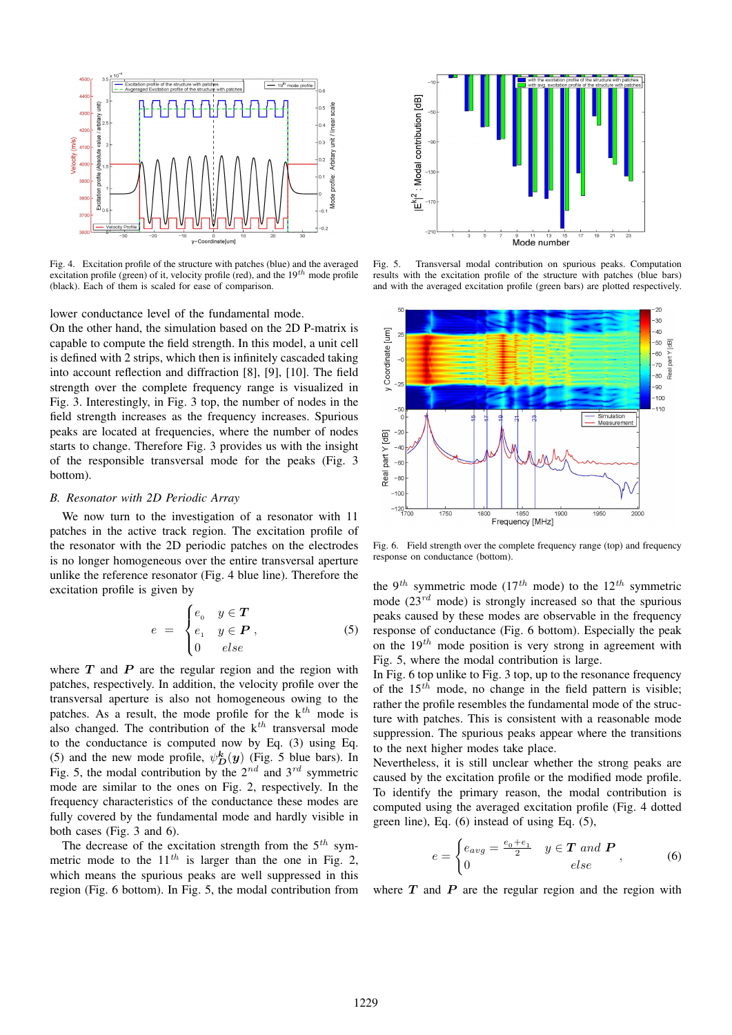

Fig. 4. Excitation profile of the structure with patches (blue) and the averaged excitation profile (green) of it, velocity profile (red), and the  $19^{th}$  mode profile (black). Each of them is scaled for ease of comparison.

lower conductance level of the fundamental mode.

On the other hand, the simulation based on the 2D P-matrix is capable to compute the field strength. In this model, a unit cell is defined with 2 strips, which then is infinitely cascaded taking into account reflection and diffraction [8], [9], [10]. The field strength over the complete frequency range is visualized in Fig. 3. Interestingly, in Fig. 3 top, the number of nodes in the field strength increases as the frequency increases. Spurious peaks are located at frequencies, where the number of nodes starts to change. Therefore Fig. 3 provides us with the insight of the responsible transversal mode for the peaks (Fig. 3 bottom).

## *B. Resonator with 2D Periodic Array*

We now turn to the investigation of a resonator with 11 patches in the active track region. The excitation profile of the resonator with the 2D periodic patches on the electrodes is no longer homogeneous over the entire transversal aperture unlike the reference resonator (Fig. 4 blue line). Therefore the excitation profile is given by

$$
e = \begin{cases} e_0 & y \in T \\ e_1 & y \in P \\ 0 & else \end{cases}
$$
 (5)

where  $T$  and  $P$  are the regular region and the region with patches, respectively. In addition, the velocity profile over the transversal aperture is also not homogeneous owing to the patches. As a result, the mode profile for the  $k^{th}$  mode is also changed. The contribution of the  $k^{th}$  transversal mode to the conductance is computed now by Eq. (3) using Eq. (5) and the new mode profile,  $\psi_D^{\bf k}(\bf{y})$  (Fig. 5 blue bars). In Fig. 5, the modal contribution by the  $2^{nd}$  and  $3^{rd}$  symmetric mode are similar to the ones on Fig. 2, respectively. In the frequency characteristics of the conductance these modes are fully covered by the fundamental mode and hardly visible in both cases (Fig. 3 and 6).

The decrease of the excitation strength from the  $5<sup>th</sup>$  symmetric mode to the  $11^{th}$  is larger than the one in Fig. 2, which means the spurious peaks are well suppressed in this region (Fig. 6 bottom). In Fig. 5, the modal contribution from



Fig. 5. Transversal modal contribution on spurious peaks. Computation results with the excitation profile of the structure with patches (blue bars) and with the averaged excitation profile (green bars) are plotted respectively.



Fig. 6. Field strength over the complete frequency range (top) and frequency response on conductance (bottom).

the 9<sup>th</sup> symmetric mode (17<sup>th</sup> mode) to the 12<sup>th</sup> symmetric mode  $(23^{rd}$  mode) is strongly increased so that the spurious peaks caused by these modes are observable in the frequency response of conductance (Fig. 6 bottom). Especially the peak on the  $19^{th}$  mode position is very strong in agreement with Fig. 5, where the modal contribution is large.

In Fig. 6 top unlike to Fig. 3 top, up to the resonance frequency of the  $15^{th}$  mode, no change in the field pattern is visible; rather the profile resembles the fundamental mode of the structure with patches. This is consistent with a reasonable mode suppression. The spurious peaks appear where the transitions to the next higher modes take place.

Nevertheless, it is still unclear whether the strong peaks are caused by the excitation profile or the modified mode profile. To identify the primary reason, the modal contribution is computed using the averaged excitation profile (Fig. 4 dotted green line), Eq. (6) instead of using Eq. (5),

$$
e = \begin{cases} e_{avg} = \frac{e_0 + e_1}{2} & y \in \mathbf{T} \text{ and } \mathbf{P} \\ 0 & else \end{cases}
$$
 (6)

where  $T$  and  $P$  are the regular region and the region with